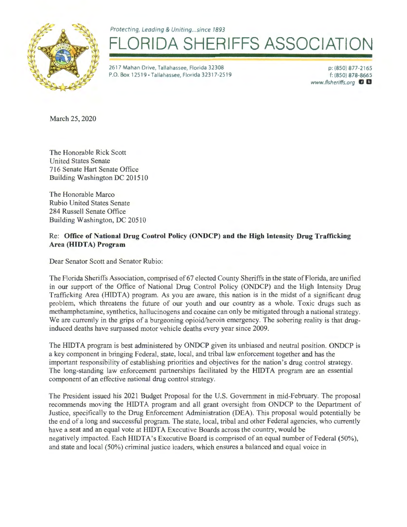Protecting, Leading & Uniting... since 1893



## **FLORIGAL SHERIFFS ASSOCIATION**

2617 Mahan Drive, Tallahassee, Florida 32308 P.O. Box 12519 · Tallahassee, Florida 32317-2519

p: (850) 877-2165 f: (850) 878-8665 www.flsheriffs.org **IJ D** 

March 25, 2020

The Honorable Rick Scott United States Senate 716 Senate Hart Senate Office Building Washington DC 201510

The Honorable Marco Rubio United States Senate 284 Russell Senate Office Building Washington, DC 20510

## Re: **Office of National Drug Control Policy (ONDCP) and the High Intensity Drug Trafficking**  Area (**HIDTA**) Program

Dear Senator Scott and Senator Rubio:

The Florida Sheriffs Association, comprised of 67 elected County Sheriffs in the state of Florida, are unified in our support of the Office of National Drug Control Policy (ONDCP) and the High Intensity Drug Trafficking Area (HIDTA) program. As you are aware, this nation is in the midst of a significant drug problem, which threatens the future of our youth and our country as a whole. Toxic drugs such as methamphetamine, synthetics, hallucinogens and cocaine can only be mitigated through a national strategy. We are currently in the grips of a burgeoning opioid/heroin emergency. The sobering reality is that druginduced deaths have surpassed motor vehicle deaths every year since 2009.

The HIDTA program is best administered by ONDCP given its unbiased and neutral position. ONDCP is a key component in bringing Federal, state, local, and tribal law enforcement together and has the important responsibility of establishing priorities and objectives for the nation's drug control strategy. The long-standing law enforcement partnerships facilitated by the HIDTA program are an essential component of an effective national drug control strategy.

The President issued his 2021 Budget Proposal for the U.S. Government in mid-February. The proposal recommends moving the HIDTA program and all grant oversight from ONDCP to the Department of Justice, specifically to the Drug Enforcement Administration (DEA). This proposal would potentially be the end of a long and successful program. The state, local, tribal and other Federal agencies, who currently have a seat and an equal vote at HIDTA Executive Boards across the country, would be negatively impacted. Each HIDTA's Executive Board is comprised of an equal number of Federal (50%), and state and local (50%) criminal justice leaders, which ensures a balanced and equal voice in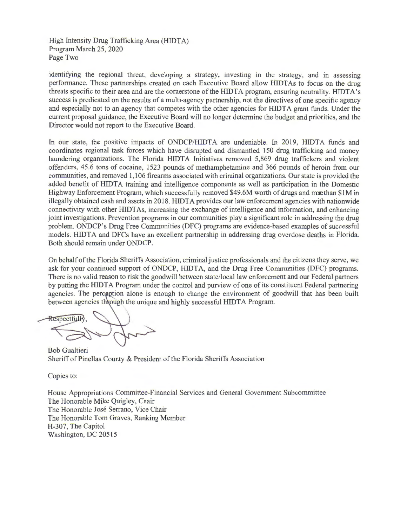High Intensity Drug Trafficking Area (HIDTA) Program March 25, 2020 Page Two

identifying the regional threat, developing a strategy, investing in the strategy, and in assessing performance. These partnerships created on each Executive Board allow HIDT As to focus on the drug threats specific to their area and are the cornerstone of the HIDTA program, ensuring neutrality. HIDTA's success is predicated on the results of a multi-agency partnership, not the directives of one specific agency and especially not to an agency that competes with the other agencies for HIDTA grant funds. Under the current proposal guidance, the Executive Board will no longer determine the budget and priorities, and the Director would not report to the Executive Board.

In our state, the positive impacts of ONDCP/HIDTA are undeniable. In 2019, HIDTA funds and coordinates regional task forces which have disrupted and dismantled 150 drug trafficking and money laundering organizations. The Florida HIDTA Initiatives removed 5,869 drug traffickers and violent offenders, 45.6 tons of cocaine, 1523 pounds of methamphetamine and 366 pounds of heroin from our communities, and removed 1,106 firearms associated with criminal organizations. Our state is provided the added benefit of HIDTA training and intelligence components as well as participation in the Domestic Highway Enforcement Program, which successfully removed \$49.6M worth of drugs and maethan \$1M in illegally obtained cash and assets in 2018. HIDTA provides our law enforcement agencies with nationwide connectivity with other HIDT As, increasing the exchange of intelligence and information, and enhancing joint investigations. Prevention programs in our communities play a significant role in addressing the drug problem. ONDCP's Drug Free Communities (DFC) programs are evidence-based examples of successful models. HIDT A and DFCs have an excellent partnership in addressing drug overdose deaths in Florida. Both should remain under ONDCP.

On behalf of the Florida Sheriffs Association, criminal justice professionals and the citizens they serve, we ask for your continued support of ONDCP, HIDTA, and the Drug Free Communities (DFC) programs. There is no valid reason to risk the goodwill between state/local law enforcement and our Federal partners by putting the HIDT A Program under the control and purview of one of its constituent Federal partnering agencies. The perception alone is enough to change the environment of goodwill that has been built between agencies through the unique and highly successful HIDTA Program.

Respectfull

Bob Gualtieri Sheriff of Pinellas County & President of the Florida Sheriffs Association

Copies to:

House Appropriations Committee-Financial Services and General Government Subcommittee The Honorable Mike Quigley, Chair The Honorable Jose Serrano, Vice Chair The Honorable Tom Graves, Ranking Member H-307, The Capitol Washington, DC 20515